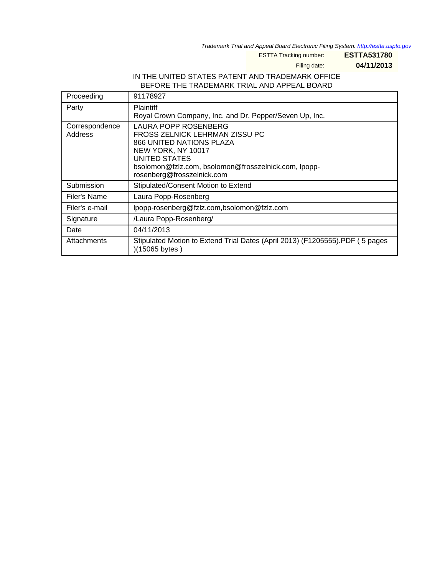Trademark Trial and Appeal Board Electronic Filing System. <http://estta.uspto.gov>

ESTTA Tracking number: **ESTTA531780**

Filing date: **04/11/2013**

## IN THE UNITED STATES PATENT AND TRADEMARK OFFICE BEFORE THE TRADEMARK TRIAL AND APPEAL BOARD

| Proceeding                | 91178927                                                                                                                                                                                                        |
|---------------------------|-----------------------------------------------------------------------------------------------------------------------------------------------------------------------------------------------------------------|
| Party                     | <b>Plaintiff</b><br>Royal Crown Company, Inc. and Dr. Pepper/Seven Up, Inc.                                                                                                                                     |
| Correspondence<br>Address | LAURA POPP ROSENBERG<br>FROSS ZELNICK LEHRMAN ZISSU PC<br>866 UNITED NATIONS PLAZA<br>NEW YORK, NY 10017<br>UNITED STATES<br>bsolomon@fzlz.com, bsolomon@frosszelnick.com, lpopp-<br>rosenberg@frosszelnick.com |
| Submission                | Stipulated/Consent Motion to Extend                                                                                                                                                                             |
| Filer's Name              | Laura Popp-Rosenberg                                                                                                                                                                                            |
| Filer's e-mail            | lpopp-rosenberg@fzlz.com,bsolomon@fzlz.com                                                                                                                                                                      |
| Signature                 | /Laura Popp-Rosenberg/                                                                                                                                                                                          |
| Date                      | 04/11/2013                                                                                                                                                                                                      |
| Attachments               | Stipulated Motion to Extend Trial Dates (April 2013) (F1205555).PDF (5 pages<br>)(15065 bytes)                                                                                                                  |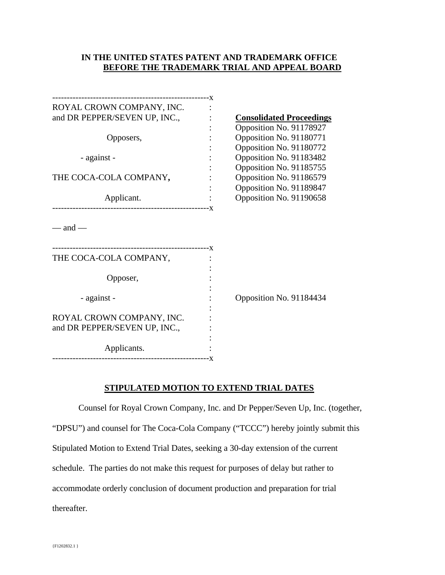## **IN THE UNITED STATES PATENT AND TRADEMARK OFFICE BEFORE THE TRADEMARK TRIAL AND APPEAL BOARD**

| ROYAL CROWN COMPANY, INC.     |                                 |
|-------------------------------|---------------------------------|
| and DR PEPPER/SEVEN UP, INC., | <b>Consolidated Proceedings</b> |
|                               | Opposition No. 91178927         |
| Opposers,                     | Opposition No. 91180771         |
|                               | Opposition No. 91180772         |
| - against -                   | Opposition No. 91183482         |
|                               | Opposition No. 91185755         |
| THE COCA-COLA COMPANY,        | Opposition No. 91186579         |
|                               | Opposition No. 91189847         |
| Applicant.                    | Opposition No. 91190658         |
|                               |                                 |
| $-$ and $-$                   |                                 |
| THE COCA-COLA COMPANY,        |                                 |
|                               |                                 |
| Opposer,                      |                                 |
|                               |                                 |
| - against -                   | Opposition No. 91184434         |
|                               |                                 |
| ROYAL CROWN COMPANY, INC.     |                                 |
| and DR PEPPER/SEVEN UP, INC., |                                 |
|                               |                                 |
| Applicants.                   |                                 |
|                               |                                 |

## **STIPULATED MOTION TO EXTEND TRIAL DATES**

Counsel for Royal Crown Company, Inc. and Dr Pepper/Seven Up, Inc. (together, "DPSU") and counsel for The Coca-Cola Company ("TCCC") hereby jointly submit this Stipulated Motion to Extend Trial Dates, seeking a 30-day extension of the current schedule. The parties do not make this request for purposes of delay but rather to accommodate orderly conclusion of document production and preparation for trial thereafter.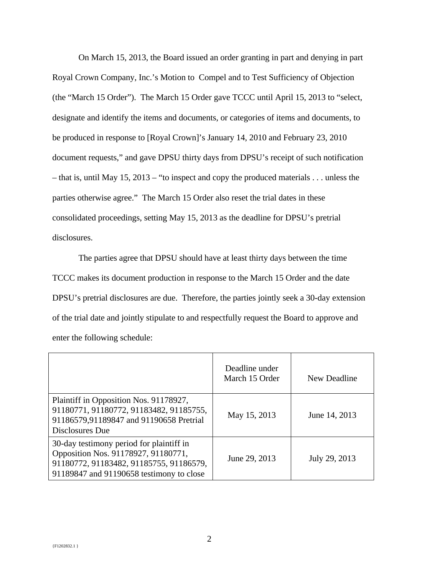On March 15, 2013, the Board issued an order granting in part and denying in part Royal Crown Company, Inc.'s Motion to Compel and to Test Sufficiency of Objection (the "March 15 Order"). The March 15 Order gave TCCC until April 15, 2013 to "select, designate and identify the items and documents, or categories of items and documents, to be produced in response to [Royal Crown]'s January 14, 2010 and February 23, 2010 document requests," and gave DPSU thirty days from DPSU's receipt of such notification – that is, until May 15, 2013 – "to inspect and copy the produced materials . . . unless the parties otherwise agree." The March 15 Order also reset the trial dates in these consolidated proceedings, setting May 15, 2013 as the deadline for DPSU's pretrial disclosures.

The parties agree that DPSU should have at least thirty days between the time TCCC makes its document production in response to the March 15 Order and the date DPSU's pretrial disclosures are due. Therefore, the parties jointly seek a 30-day extension of the trial date and jointly stipulate to and respectfully request the Board to approve and enter the following schedule:

|                                                                                                                                                                        | Deadline under<br>March 15 Order | New Deadline  |
|------------------------------------------------------------------------------------------------------------------------------------------------------------------------|----------------------------------|---------------|
| Plaintiff in Opposition Nos. 91178927,<br>91180771, 91180772, 91183482, 91185755,<br>91186579,91189847 and 91190658 Pretrial<br>Disclosures Due                        | May 15, 2013                     | June 14, 2013 |
| 30-day testimony period for plaintiff in<br>Opposition Nos. 91178927, 91180771,<br>91180772, 91183482, 91185755, 91186579,<br>91189847 and 91190658 testimony to close | June 29, 2013                    | July 29, 2013 |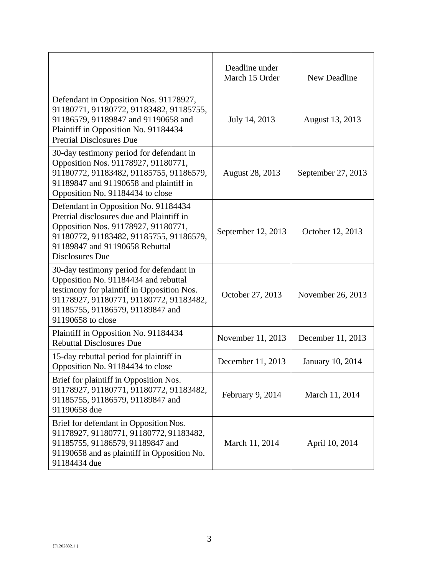|                                                                                                                                                                                                                                    | Deadline under<br>March 15 Order | New Deadline            |
|------------------------------------------------------------------------------------------------------------------------------------------------------------------------------------------------------------------------------------|----------------------------------|-------------------------|
| Defendant in Opposition Nos. 91178927,<br>91180771, 91180772, 91183482, 91185755,<br>91186579, 91189847 and 91190658 and<br>Plaintiff in Opposition No. 91184434<br><b>Pretrial Disclosures Due</b>                                | July 14, 2013                    | August 13, 2013         |
| 30-day testimony period for defendant in<br>Opposition Nos. 91178927, 91180771,<br>91180772, 91183482, 91185755, 91186579,<br>91189847 and 91190658 and plaintiff in<br>Opposition No. 91184434 to close                           | <b>August 28, 2013</b>           | September 27, 2013      |
| Defendant in Opposition No. 91184434<br>Pretrial disclosures due and Plaintiff in<br>Opposition Nos. 91178927, 91180771,<br>91180772, 91183482, 91185755, 91186579,<br>91189847 and 91190658 Rebuttal<br>Disclosures Due           | September 12, 2013               | October 12, 2013        |
| 30-day testimony period for defendant in<br>Opposition No. 91184434 and rebuttal<br>testimony for plaintiff in Opposition Nos.<br>91178927, 91180771, 91180772, 91183482,<br>91185755, 91186579, 91189847 and<br>91190658 to close | October 27, 2013                 | November 26, 2013       |
| Plaintiff in Opposition No. 91184434<br><b>Rebuttal Disclosures Due</b>                                                                                                                                                            | November 11, 2013                | December 11, 2013       |
| 15-day rebuttal period for plaintiff in<br>Opposition No. 91184434 to close                                                                                                                                                        | December 11, 2013                | <b>January 10, 2014</b> |
| Brief for plaintiff in Opposition Nos.<br>91178927, 91180771, 91180772, 91183482,<br>91185755, 91186579, 91189847 and<br>91190658 due                                                                                              | February 9, 2014                 | March 11, 2014          |
| Brief for defendant in Opposition Nos.<br>91178927, 91180771, 91180772, 91183482,<br>91185755, 91186579, 91189847 and<br>91190658 and as plaintiff in Opposition No.<br>91184434 due                                               | March 11, 2014                   | April 10, 2014          |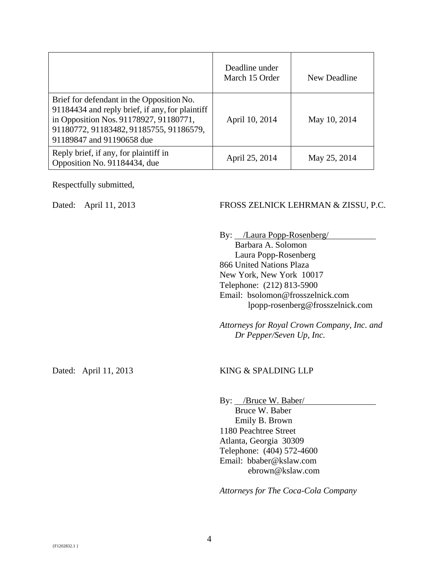|                                                                                                                                                                                                                | Deadline under<br>March 15 Order | New Deadline |
|----------------------------------------------------------------------------------------------------------------------------------------------------------------------------------------------------------------|----------------------------------|--------------|
| Brief for defendant in the Opposition No.<br>91184434 and reply brief, if any, for plaintiff<br>in Opposition Nos. 91178927, 91180771,<br>91180772, 91183482, 91185755, 91186579,<br>91189847 and 91190658 due | April 10, 2014                   | May 10, 2014 |
| Reply brief, if any, for plaintiff in<br>Opposition No. 91184434, due                                                                                                                                          | April 25, 2014                   | May 25, 2014 |

Respectfully submitted,

#### Dated: April 11, 2013 FROSS ZELNICK LEHRMAN & ZISSU, P.C.

By: /Laura Popp-Rosenberg/ Barbara A. Solomon Laura Popp-Rosenberg 866 United Nations Plaza New York, New York 10017 Telephone: (212) 813-5900 Email: bsolomon@frosszelnick.com lpopp-rosenberg@frosszelnick.com

*Attorneys for Royal Crown Company, Inc. and Dr Pepper/Seven Up, Inc.* 

#### Dated: April 11, 2013 KING & SPALDING LLP

By: /Bruce W. Baber/ Bruce W. Baber Emily B. Brown 1180 Peachtree Street Atlanta, Georgia 30309 Telephone: (404) 572-4600 Email: bbaber@kslaw.com ebrown@kslaw.com

*Attorneys for The Coca-Cola Company*